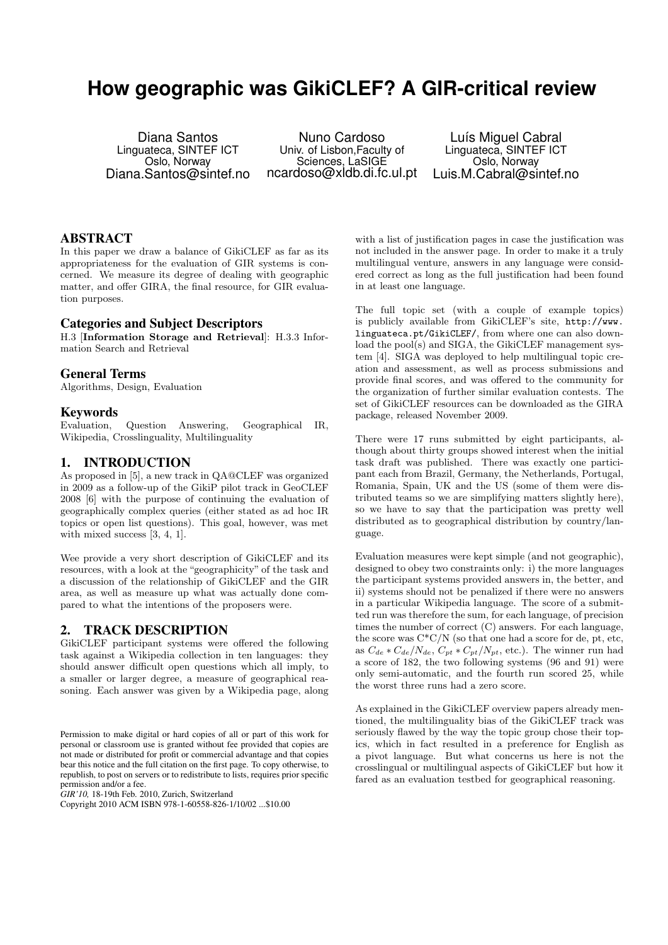# **How geographic was GikiCLEF? A GIR-critical review**

Diana Santos Linguateca, SINTEF ICT Oslo, Norway Diana.Santos@sintef.no

Nuno Cardoso Univ. of Lisbon,Faculty of Sciences, LaSIGE ncardoso@xldb.di.fc.ul.pt

Luís Miguel Cabral Linguateca, SINTEF ICT Oslo, Norway Luis.M.Cabral@sintef.no

## ABSTRACT

In this paper we draw a balance of GikiCLEF as far as its appropriateness for the evaluation of GIR systems is concerned. We measure its degree of dealing with geographic matter, and offer GIRA, the final resource, for GIR evaluation purposes.

## Categories and Subject Descriptors

H.3 [Information Storage and Retrieval]: H.3.3 Information Search and Retrieval

#### General Terms

Algorithms, Design, Evaluation

## Keywords

Evaluation, Question Answering, Geographical IR, Wikipedia, Crosslinguality, Multilinguality

# 1. INTRODUCTION

As proposed in [5], a new track in QA@CLEF was organized in 2009 as a follow-up of the GikiP pilot track in GeoCLEF 2008 [6] with the purpose of continuing the evaluation of geographically complex queries (either stated as ad hoc IR topics or open list questions). This goal, however, was met with mixed success [3, 4, 1].

Wee provide a very short description of GikiCLEF and its resources, with a look at the "geographicity" of the task and a discussion of the relationship of GikiCLEF and the GIR area, as well as measure up what was actually done compared to what the intentions of the proposers were.

# 2. TRACK DESCRIPTION

GikiCLEF participant systems were offered the following task against a Wikipedia collection in ten languages: they should answer difficult open questions which all imply, to a smaller or larger degree, a measure of geographical reasoning. Each answer was given by a Wikipedia page, along

*GIR'10,* 18-19th Feb. 2010, Zurich, Switzerland

with a list of justification pages in case the justification was not included in the answer page. In order to make it a truly multilingual venture, answers in any language were considered correct as long as the full justification had been found in at least one language.

The full topic set (with a couple of example topics) is publicly available from GikiCLEF's site, http://www. linguateca.pt/GikiCLEF/, from where one can also download the pool(s) and SIGA, the GikiCLEF management system [4]. SIGA was deployed to help multilingual topic creation and assessment, as well as process submissions and provide final scores, and was offered to the community for the organization of further similar evaluation contests. The set of GikiCLEF resources can be downloaded as the GIRA package, released November 2009.

There were 17 runs submitted by eight participants, although about thirty groups showed interest when the initial task draft was published. There was exactly one participant each from Brazil, Germany, the Netherlands, Portugal, Romania, Spain, UK and the US (some of them were distributed teams so we are simplifying matters slightly here), so we have to say that the participation was pretty well distributed as to geographical distribution by country/language.

Evaluation measures were kept simple (and not geographic), designed to obey two constraints only: i) the more languages the participant systems provided answers in, the better, and ii) systems should not be penalized if there were no answers in a particular Wikipedia language. The score of a submitted run was therefore the sum, for each language, of precision times the number of correct (C) answers. For each language, the score was  $C^*C/N$  (so that one had a score for de, pt, etc, as  $C_{de} * C_{de}/N_{de}$ ,  $C_{pt} * C_{pt}/N_{pt}$ , etc.). The winner run had a score of 182, the two following systems (96 and 91) were only semi-automatic, and the fourth run scored 25, while the worst three runs had a zero score.

As explained in the GikiCLEF overview papers already mentioned, the multilinguality bias of the GikiCLEF track was seriously flawed by the way the topic group chose their topics, which in fact resulted in a preference for English as a pivot language. But what concerns us here is not the crosslingual or multilingual aspects of GikiCLEF but how it fared as an evaluation testbed for geographical reasoning.

Permission to make digital or hard copies of all or part of this work for personal or classroom use is granted without fee provided that copies are not made or distributed for profit or commercial advantage and that copies bear this notice and the full citation on the first page. To copy otherwise, to republish, to post on servers or to redistribute to lists, requires prior specific permission and/or a fee.

Copyright 2010 ACM ISBN 978-1-60558-826-1/10/02 ...\$10.00